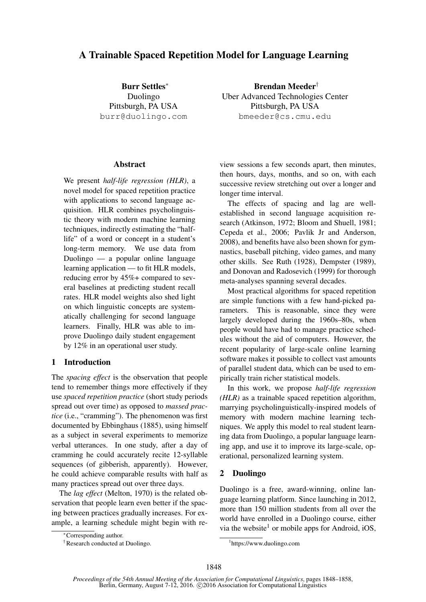# A Trainable Spaced Repetition Model for Language Learning

Burr Settles<sup>∗</sup> Duolingo Pittsburgh, PA USA burr@duolingo.com

### Abstract

We present *half-life regression (HLR)*, a novel model for spaced repetition practice with applications to second language acquisition. HLR combines psycholinguistic theory with modern machine learning techniques, indirectly estimating the "halflife" of a word or concept in a student's long-term memory. We use data from Duolingo — a popular online language learning application — to fit HLR models, reducing error by 45%+ compared to several baselines at predicting student recall rates. HLR model weights also shed light on which linguistic concepts are systematically challenging for second language learners. Finally, HLR was able to improve Duolingo daily student engagement by 12% in an operational user study.

## 1 Introduction

The *spacing effect* is the observation that people tend to remember things more effectively if they use *spaced repetition practice* (short study periods spread out over time) as opposed to *massed practice* (i.e., "cramming"). The phenomenon was first documented by Ebbinghaus (1885), using himself as a subject in several experiments to memorize verbal utterances. In one study, after a day of cramming he could accurately recite 12-syllable sequences (of gibberish, apparently). However, he could achieve comparable results with half as many practices spread out over three days.

The *lag effect* (Melton, 1970) is the related observation that people learn even better if the spacing between practices gradually increases. For example, a learning schedule might begin with re-

Brendan Meeder† Uber Advanced Technologies Center Pittsburgh, PA USA bmeeder@cs.cmu.edu

view sessions a few seconds apart, then minutes, then hours, days, months, and so on, with each successive review stretching out over a longer and longer time interval.

The effects of spacing and lag are wellestablished in second language acquisition research (Atkinson, 1972; Bloom and Shuell, 1981; Cepeda et al., 2006; Pavlik Jr and Anderson, 2008), and benefits have also been shown for gymnastics, baseball pitching, video games, and many other skills. See Ruth (1928), Dempster (1989), and Donovan and Radosevich (1999) for thorough meta-analyses spanning several decades.

Most practical algorithms for spaced repetition are simple functions with a few hand-picked parameters. This is reasonable, since they were largely developed during the 1960s–80s, when people would have had to manage practice schedules without the aid of computers. However, the recent popularity of large-scale online learning software makes it possible to collect vast amounts of parallel student data, which can be used to empirically train richer statistical models.

In this work, we propose *half-life regression (HLR)* as a trainable spaced repetition algorithm, marrying psycholinguistically-inspired models of memory with modern machine learning techniques. We apply this model to real student learning data from Duolingo, a popular language learning app, and use it to improve its large-scale, operational, personalized learning system.

# 2 Duolingo

Duolingo is a free, award-winning, online language learning platform. Since launching in 2012, more than 150 million students from all over the world have enrolled in a Duolingo course, either via the website<sup>1</sup> or mobile apps for Android, iOS,

<sup>∗</sup>Corresponding author.

<sup>†</sup>Research conducted at Duolingo.

<sup>1</sup> https://www.duolingo.com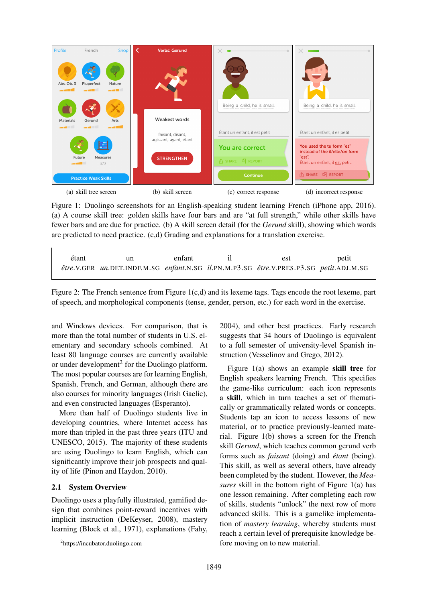

Figure 1: Duolingo screenshots for an English-speaking student learning French (iPhone app, 2016). (a) A course skill tree: golden skills have four bars and are "at full strength," while other skills have fewer bars and are due for practice. (b) A skill screen detail (for the *Gerund* skill), showing which words are predicted to need practice. (c,d) Grading and explanations for a translation exercise.

| étant | un                                                                                     | enfant | est | petit |
|-------|----------------------------------------------------------------------------------------|--------|-----|-------|
|       | être.V.GER un.DET.INDF.M.SG enfant.N.SG il.PN.M.P3.SG être.V.PRES.P3.SG petit.ADJ.M.SG |        |     |       |

Figure 2: The French sentence from Figure 1(c,d) and its lexeme tags. Tags encode the root lexeme, part of speech, and morphological components (tense, gender, person, etc.) for each word in the exercise.

and Windows devices. For comparison, that is more than the total number of students in U.S. elementary and secondary schools combined. At least 80 language courses are currently available or under development<sup>2</sup> for the Duolingo platform. The most popular courses are for learning English, Spanish, French, and German, although there are also courses for minority languages (Irish Gaelic), and even constructed languages (Esperanto).

More than half of Duolingo students live in developing countries, where Internet access has more than tripled in the past three years (ITU and UNESCO, 2015). The majority of these students are using Duolingo to learn English, which can significantly improve their job prospects and quality of life (Pinon and Haydon, 2010).

## 2.1 System Overview

Duolingo uses a playfully illustrated, gamified design that combines point-reward incentives with implicit instruction (DeKeyser, 2008), mastery learning (Block et al., 1971), explanations (Fahy, 2004), and other best practices. Early research suggests that 34 hours of Duolingo is equivalent to a full semester of university-level Spanish instruction (Vesselinov and Grego, 2012).

Figure 1(a) shows an example skill tree for English speakers learning French. This specifies the game-like curriculum: each icon represents a skill, which in turn teaches a set of thematically or grammatically related words or concepts. Students tap an icon to access lessons of new material, or to practice previously-learned material. Figure 1(b) shows a screen for the French skill *Gerund*, which teaches common gerund verb forms such as *faisant* (doing) and *étant* (being). This skill, as well as several others, have already been completed by the student. However, the *Measures* skill in the bottom right of Figure 1(a) has one lesson remaining. After completing each row of skills, students "unlock" the next row of more advanced skills. This is a gamelike implementation of *mastery learning*, whereby students must reach a certain level of prerequisite knowledge before moving on to new material.

<sup>2</sup> https://incubator.duolingo.com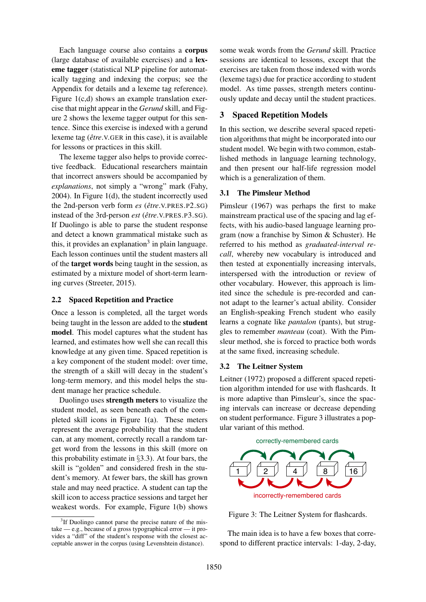Each language course also contains a corpus (large database of available exercises) and a lexeme tagger (statistical NLP pipeline for automatically tagging and indexing the corpus; see the Appendix for details and a lexeme tag reference). Figure 1(c,d) shows an example translation exercise that might appear in the *Gerund* skill, and Figure 2 shows the lexeme tagger output for this sentence. Since this exercise is indexed with a gerund lexeme tag ( $\hat{e}$ *tre N*.GER in this case), it is available for lessons or practices in this skill.

The lexeme tagger also helps to provide corrective feedback. Educational researchers maintain that incorrect answers should be accompanied by *explanations*, not simply a "wrong" mark (Fahy, 2004). In Figure 1(d), the student incorrectly used the 2nd-person verb form *es* ( $\hat{e}$ *tre*.*v*.PRES.P2.SG) instead of the 3rd-person *est* ( $\hat{e}$ *tre N*.PRES.P3.SG). If Duolingo is able to parse the student response and detect a known grammatical mistake such as this, it provides an explanation<sup>3</sup> in plain language. Each lesson continues until the student masters all of the target words being taught in the session, as estimated by a mixture model of short-term learning curves (Streeter, 2015).

### 2.2 Spaced Repetition and Practice

Once a lesson is completed, all the target words being taught in the lesson are added to the student model. This model captures what the student has learned, and estimates how well she can recall this knowledge at any given time. Spaced repetition is a key component of the student model: over time, the strength of a skill will decay in the student's long-term memory, and this model helps the student manage her practice schedule.

Duolingo uses strength meters to visualize the student model, as seen beneath each of the completed skill icons in Figure 1(a). These meters represent the average probability that the student can, at any moment, correctly recall a random target word from the lessons in this skill (more on this probability estimate in §3.3). At four bars, the skill is "golden" and considered fresh in the student's memory. At fewer bars, the skill has grown stale and may need practice. A student can tap the skill icon to access practice sessions and target her weakest words. For example, Figure 1(b) shows

some weak words from the *Gerund* skill. Practice sessions are identical to lessons, except that the exercises are taken from those indexed with words (lexeme tags) due for practice according to student model. As time passes, strength meters continuously update and decay until the student practices.

# 3 Spaced Repetition Models

In this section, we describe several spaced repetition algorithms that might be incorporated into our student model. We begin with two common, established methods in language learning technology, and then present our half-life regression model which is a generalization of them.

### 3.1 The Pimsleur Method

Pimsleur (1967) was perhaps the first to make mainstream practical use of the spacing and lag effects, with his audio-based language learning program (now a franchise by Simon & Schuster). He referred to his method as *graduated-interval recall*, whereby new vocabulary is introduced and then tested at exponentially increasing intervals, interspersed with the introduction or review of other vocabulary. However, this approach is limited since the schedule is pre-recorded and cannot adapt to the learner's actual ability. Consider an English-speaking French student who easily learns a cognate like *pantalon* (pants), but struggles to remember *manteau* (coat). With the Pimsleur method, she is forced to practice both words at the same fixed, increasing schedule.

### 3.2 The Leitner System

Leitner (1972) proposed a different spaced repetition algorithm intended for use with flashcards. It is more adaptive than Pimsleur's, since the spacing intervals can increase or decrease depending on student performance. Figure 3 illustrates a popular variant of this method.



Figure 3: The Leitner System for flashcards.

The main idea is to have a few boxes that correspond to different practice intervals: 1-day, 2-day,

<sup>&</sup>lt;sup>3</sup>If Duolingo cannot parse the precise nature of the mistake — e.g., because of a gross typographical error — it provides a "diff" of the student's response with the closest acceptable answer in the corpus (using Levenshtein distance).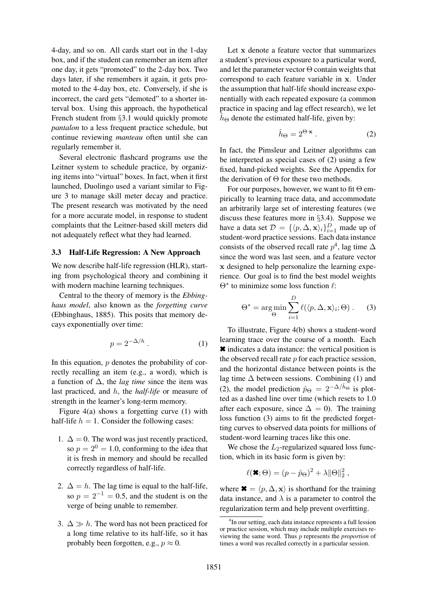4-day, and so on. All cards start out in the 1-day box, and if the student can remember an item after one day, it gets "promoted" to the 2-day box. Two days later, if she remembers it again, it gets promoted to the 4-day box, etc. Conversely, if she is incorrect, the card gets "demoted" to a shorter interval box. Using this approach, the hypothetical French student from §3.1 would quickly promote *pantalon* to a less frequent practice schedule, but continue reviewing *manteau* often until she can regularly remember it.

Several electronic flashcard programs use the Leitner system to schedule practice, by organizing items into "virtual" boxes. In fact, when it first launched, Duolingo used a variant similar to Figure 3 to manage skill meter decay and practice. The present research was motivated by the need for a more accurate model, in response to student complaints that the Leitner-based skill meters did not adequately reflect what they had learned.

#### 3.3 Half-Life Regression: A New Approach

We now describe half-life regression (HLR), starting from psychological theory and combining it with modern machine learning techniques.

Central to the theory of memory is the *Ebbinghaus model*, also known as the *forgetting curve* (Ebbinghaus, 1885). This posits that memory decays exponentially over time:

$$
p = 2^{-\Delta/h} \,. \tag{1}
$$

In this equation,  $p$  denotes the probability of correctly recalling an item (e.g., a word), which is a function of ∆, the *lag time* since the item was last practiced, and h, the *half-life* or measure of strength in the learner's long-term memory.

Figure 4(a) shows a forgetting curve (1) with half-life  $h = 1$ . Consider the following cases:

- 1.  $\Delta = 0$ . The word was just recently practiced, so  $p = 2^0 = 1.0$ , conforming to the idea that it is fresh in memory and should be recalled correctly regardless of half-life.
- 2.  $\Delta = h$ . The lag time is equal to the half-life, so  $p = 2^{-1} = 0.5$ , and the student is on the verge of being unable to remember.
- 3.  $\Delta \gg h$ . The word has not been practiced for a long time relative to its half-life, so it has probably been forgotten, e.g.,  $p \approx 0$ .

Let x denote a feature vector that summarizes a student's previous exposure to a particular word, and let the parameter vector  $\Theta$  contain weights that correspond to each feature variable in x. Under the assumption that half-life should increase exponentially with each repeated exposure (a common practice in spacing and lag effect research), we let  $h_{\Theta}$  denote the estimated half-life, given by:

$$
\hat{h}_{\Theta} = 2^{\Theta \cdot \mathbf{x}} \,. \tag{2}
$$

In fact, the Pimsleur and Leitner algorithms can be interpreted as special cases of (2) using a few fixed, hand-picked weights. See the Appendix for the derivation of  $\Theta$  for these two methods.

For our purposes, however, we want to fit  $\Theta$  empirically to learning trace data, and accommodate an arbitrarily large set of interesting features (we discuss these features more in §3.4). Suppose we have a data set  $\mathcal{D} = \{ \langle p, \Delta, \mathbf{x} \rangle_i \}_{i=1}^D$  made up of student-word practice sessions. Each data instance consists of the observed recall rate  $p^4$ , lag time  $\Delta$ since the word was last seen, and a feature vector x designed to help personalize the learning experience. Our goal is to find the best model weights  $\Theta^*$  to minimize some loss function  $\ell$ :

$$
\Theta^* = \underset{\Theta}{\arg\min} \sum_{i=1}^{D} \ell(\langle p, \Delta, \mathbf{x} \rangle_i; \Theta) . \tag{3}
$$

To illustrate, Figure 4(b) shows a student-word learning trace over the course of a month. Each ✖ indicates a data instance: the vertical position is the observed recall rate  $p$  for each practice session, and the horizontal distance between points is the lag time  $\Delta$  between sessions. Combining (1) and (2), the model prediction  $\hat{p}_{\Theta} = 2^{-\Delta/\hat{h}_{\Theta}}$  is plotted as a dashed line over time (which resets to 1.0 after each exposure, since  $\Delta = 0$ ). The training loss function (3) aims to fit the predicted forgetting curves to observed data points for millions of student-word learning traces like this one.

We chose the  $L_2$ -regularized squared loss function, which in its basic form is given by:

$$
\ell(\mathbf{x};\Theta) = (p - \hat{p}_{\Theta})^2 + \lambda \|\Theta\|_2^2,
$$

where  $\mathbf{\divideontimes} = \langle p, \Delta, \mathbf{x} \rangle$  is shorthand for the training data instance, and  $\lambda$  is a parameter to control the regularization term and help prevent overfitting.

<sup>&</sup>lt;sup>4</sup>In our setting, each data instance represents a full lession or practice session, which may include multiple exercises reviewing the same word. Thus p represents the *proportion* of times a word was recalled correctly in a particular session.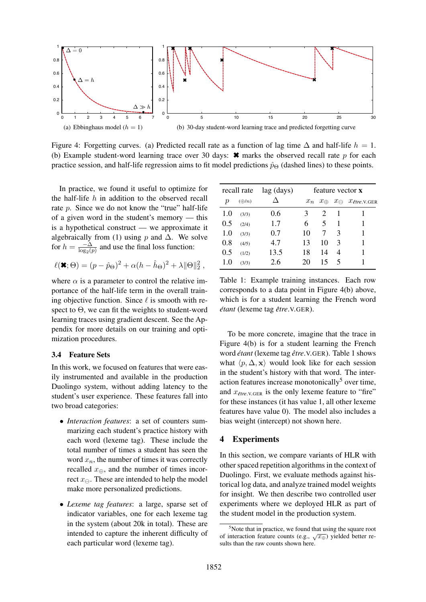

Figure 4: Forgetting curves. (a) Predicted recall rate as a function of lag time  $\Delta$  and half-life  $h = 1$ . (b) Example student-word learning trace over 30 days:  $\star$  marks the observed recall rate p for each practice session, and half-life regression aims to fit model predictions  $\hat{p}_{\Theta}$  (dashed lines) to these points.

In practice, we found it useful to optimize for the half-life  $h$  in addition to the observed recall rate p. Since we do not know the "true" half-life of a given word in the student's memory — this is a hypothetical construct — we approximate it algebraically from (1) using p and  $\Delta$ . We solve for  $h = \frac{-\Delta}{\log_2(p)}$  and use the final loss function:

$$
\ell(\blacktriangleright, \Theta) = (p - \hat{p}_{\Theta})^2 + \alpha (h - \hat{h}_{\Theta})^2 + \lambda ||\Theta||_2^2,
$$

where  $\alpha$  is a parameter to control the relative importance of the half-life term in the overall training objective function. Since  $\ell$  is smooth with respect to  $\Theta$ , we can fit the weights to student-word learning traces using gradient descent. See the Appendix for more details on our training and optimization procedures.

#### 3.4 Feature Sets

In this work, we focused on features that were easily instrumented and available in the production Duolingo system, without adding latency to the student's user experience. These features fall into two broad categories:

- *Interaction features*: a set of counters summarizing each student's practice history with each word (lexeme tag). These include the total number of times a student has seen the word  $x_n$ , the number of times it was correctly recalled  $x_{\oplus}$ , and the number of times incorrect  $x_{\ominus}$ . These are intended to help the model make more personalized predictions.
- *Lexeme tag features*: a large, sparse set of indicator variables, one for each lexeme tag in the system (about 20k in total). These are intended to capture the inherent difficulty of each particular word (lexeme tag).

|                  | recall rate     | lag (days) |       |              |                | feature vector <b>x</b>            |
|------------------|-----------------|------------|-------|--------------|----------------|------------------------------------|
| $\boldsymbol{p}$ | $(\bigoplus/n)$ |            | $x_n$ | $x_{\oplus}$ |                | $x_{\ominus}$ $x_{\text{\}}$ v.GER |
| 1.0              | (3/3)           | 0.6        | 3     | 2            |                |                                    |
| 0.5              | (2/4)           | 1.7        | 6     | 5            | 1              |                                    |
| 1.0              | (3/3)           | 0.7        | 10    | 7            | $\mathcal{R}$  |                                    |
| 0.8              | (4/5)           | 4.7        | 13    | 10           | $\mathcal{F}$  |                                    |
| 0.5              | (1/2)           | 13.5       | 18    | 14           | $\overline{4}$ |                                    |
| 1.0              | (3/3)           | 2.6        | 20    | 15           | $\mathcal{F}$  |                                    |
|                  |                 |            |       |              |                |                                    |

Table 1: Example training instances. Each row corresponds to a data point in Figure 4(b) above, which is for a student learning the French word *etant ´* (lexeme tag *etre ˆ* .V.GER).

To be more concrete, imagine that the trace in Figure 4(b) is for a student learning the French word *etant ´* (lexeme tag *etre ˆ* .V.GER). Table 1 shows what  $\langle p, \Delta, \mathbf{x} \rangle$  would look like for each session in the student's history with that word. The interaction features increase monotonically<sup>5</sup> over time, and  $x_{\text{efre.V.GER}}$  is the only lexeme feature to "fire" for these instances (it has value 1, all other lexeme features have value 0). The model also includes a bias weight (intercept) not shown here.

### 4 Experiments

In this section, we compare variants of HLR with other spaced repetition algorithms in the context of Duolingo. First, we evaluate methods against historical log data, and analyze trained model weights for insight. We then describe two controlled user experiments where we deployed HLR as part of the student model in the production system.

 $5$ Note that in practice, we found that using the square root of interaction feature counts (e.g.,  $\sqrt{x_{\oplus}}$ ) yielded better results than the raw counts shown here.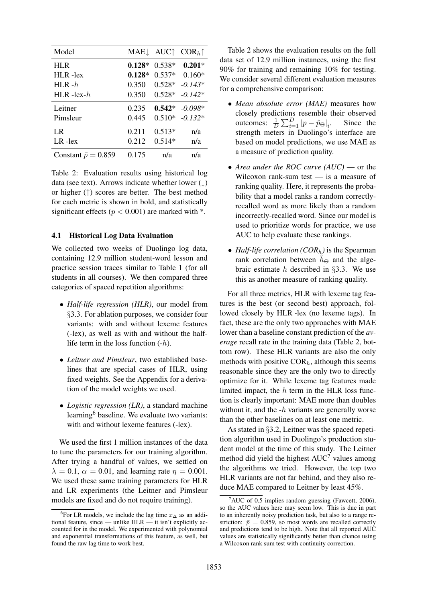| Model                      | MAE↓     | $AUC$ $\uparrow$ | $CORh$ <sup><math>\uparrow</math></sup> |
|----------------------------|----------|------------------|-----------------------------------------|
| HLR                        | $0.128*$ | $0.538*$         | $0.201*$                                |
| HLR-lex                    | $0.128*$ | $0.537*$         | $0.160*$                                |
| HLR $-h$                   | 0.350    | $0.528*$         | $-0.143*$                               |
| HLR-lex- $h$               | 0.350    | $0.528*$         | $-0.142*$                               |
| Leitner                    | 0.235    | $0.542*$         | $-0.098*$                               |
| Pimsleur                   | 0.445    | $0.510*$         | $-0.132*$                               |
| LR                         | 0.211    | $0.513*$         | n/a                                     |
| $LR$ -lex                  | 0.212    | $0.514*$         | n/a                                     |
| Constant $\bar{p} = 0.859$ | 0.175    | n/a              | n/a                                     |

Table 2: Evaluation results using historical log data (see text). Arrows indicate whether lower  $(\downarrow)$ or higher (↑) scores are better. The best method for each metric is shown in bold, and statistically significant effects ( $p < 0.001$ ) are marked with  $*$ .

### 4.1 Historical Log Data Evaluation

We collected two weeks of Duolingo log data, containing 12.9 million student-word lesson and practice session traces similar to Table 1 (for all students in all courses). We then compared three categories of spaced repetition algorithms:

- *Half-life regression (HLR)*, our model from §3.3. For ablation purposes, we consider four variants: with and without lexeme features (-lex), as well as with and without the halflife term in the loss function  $(-h)$ .
- *Leitner and Pimsleur*, two established baselines that are special cases of HLR, using fixed weights. See the Appendix for a derivation of the model weights we used.
- *Logistic regression (LR)*, a standard machine learning<sup>6</sup> baseline. We evaluate two variants: with and without lexeme features (-lex).

We used the first 1 million instances of the data to tune the parameters for our training algorithm. After trying a handful of values, we settled on  $\lambda = 0.1$ ,  $\alpha = 0.01$ , and learning rate  $\eta = 0.001$ . We used these same training parameters for HLR and LR experiments (the Leitner and Pimsleur models are fixed and do not require training).

Table 2 shows the evaluation results on the full data set of 12.9 million instances, using the first 90% for training and remaining 10% for testing. We consider several different evaluation measures for a comprehensive comparison:

- *Mean absolute error (MAE)* measures how closely predictions resemble their observed outcomes:  $\frac{1}{D} \sum_{i=1}^{D} |p - \hat{p}_{\Theta}|_i$ . Since the strength meters in Duolingo's interface are based on model predictions, we use MAE as a measure of prediction quality.
- *Area under the ROC curve (AUC)* or the Wilcoxon rank-sum test — is a measure of ranking quality. Here, it represents the probability that a model ranks a random correctlyrecalled word as more likely than a random incorrectly-recalled word. Since our model is used to prioritize words for practice, we use AUC to help evaluate these rankings.
- *Half-life correlation (COR<sub>h</sub>)* is the Spearman rank correlation between  $\hat{h}_{\Theta}$  and the algebraic estimate h described in  $\S 3.3$ . We use this as another measure of ranking quality.

For all three metrics, HLR with lexeme tag features is the best (or second best) approach, followed closely by HLR -lex (no lexeme tags). In fact, these are the only two approaches with MAE lower than a baseline constant prediction of the *average* recall rate in the training data (Table 2, bottom row). These HLR variants are also the only methods with positive  $COR<sub>h</sub>$ , although this seems reasonable since they are the only two to directly optimize for it. While lexeme tag features made limited impact, the  $h$  term in the HLR loss function is clearly important: MAE more than doubles without it, and the  $-h$  variants are generally worse than the other baselines on at least one metric.

As stated in §3.2, Leitner was the spaced repetition algorithm used in Duolingo's production student model at the time of this study. The Leitner method did yield the highest  $AUC<sup>7</sup>$  values among the algorithms we tried. However, the top two HLR variants are not far behind, and they also reduce MAE compared to Leitner by least 45%.

<sup>&</sup>lt;sup>6</sup>For LR models, we include the lag time  $x_{\Delta}$  as an additional feature, since — unlike HLR — it isn't explicitly accounted for in the model. We experimented with polynomial and exponential transformations of this feature, as well, but found the raw lag time to work best.

 $7$ AUC of 0.5 implies random guessing (Fawcett, 2006), so the AUC values here may seem low. This is due in part to an inherently noisy prediction task, but also to a range restriction:  $\bar{p} = 0.859$ , so most words are recalled correctly and predictions tend to be high. Note that all reported AUC values are statistically significantly better than chance using a Wilcoxon rank sum test with continuity correction.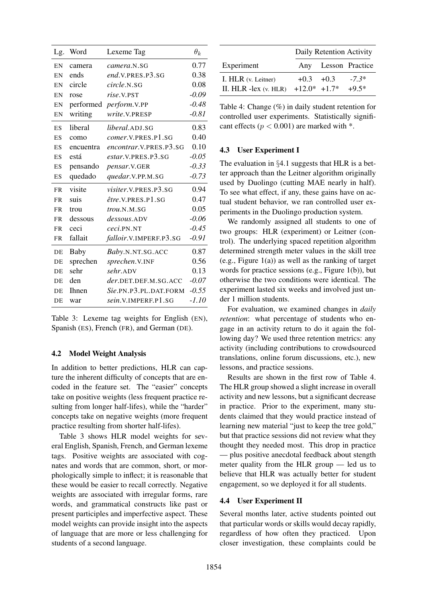| Lg.       | Word      | Lexeme Tag                | $\theta_k$ |
|-----------|-----------|---------------------------|------------|
| EN        | camera    | camera.N.SG               | 0.77       |
| EN        | ends      | end.V.PRES.P3.SG          | 0.38       |
| EN        | circle    | circle.N.SG               | 0.08       |
| EN        | rose      | rise.V.PST                | $-0.09$    |
| EN        |           | performed perform.V.PP    | $-0.48$    |
| EN        | writing   | write.V.PRESP             | $-0.81$    |
| <b>ES</b> | liberal   | liberal.ADJ.SG            | 0.83       |
| ES        | como      | <i>comer.V.PRES.P1.SG</i> | 0.40       |
| ES        | encuentra | encontrar. V.PRES. P3. SG | 0.10       |
| <b>ES</b> | está      | <i>estar.V.PRES.P3.SG</i> | $-0.05$    |
| ES        | pensando  | pensar.V.GER              | $-0.33$    |
| ES        | quedado   | quedar.V.PP.M.SG          | $-0.73$    |
| <b>FR</b> | visite    | visiter.V.PRES.P3.SG      | 0.94       |
| <b>FR</b> | suis      | être.V.PRES.P1.SG         | 0.47       |
| <b>FR</b> | trou      | trou.N.M.SG               | 0.05       |
| <b>FR</b> | dessous   | dessous.ADV               | $-0.06$    |
| <b>FR</b> | ceci      | ceci.PN.NT                | $-0.45$    |
| <b>FR</b> | fallait   | falloir.V.IMPERF.P3.SG    | $-0.91$    |
| DE        | Baby      | Baby.N.NT.SG.ACC          | 0.87       |
| DE        | sprechen  | sprechen.V.INF            | 0.56       |
| DE        | sehr      | sehr.ADV                  | 0.13       |
| DE        | den       | der.DET.DEF.M.SG.ACC      | $-0.07$    |
| DE        | Ihnen     | Sie.PN.P3.PL.DAT.FORM     | $-0.55$    |
| DE        | war       | sein.V.IMPERF.P1.SG       | $-1.10$    |

Table 3: Lexeme tag weights for English (EN), Spanish (ES), French (FR), and German (DE).

### 4.2 Model Weight Analysis

In addition to better predictions, HLR can capture the inherent difficulty of concepts that are encoded in the feature set. The "easier" concepts take on positive weights (less frequent practice resulting from longer half-lifes), while the "harder" concepts take on negative weights (more frequent practice resulting from shorter half-lifes).

Table 3 shows HLR model weights for several English, Spanish, French, and German lexeme tags. Positive weights are associated with cognates and words that are common, short, or morphologically simple to inflect; it is reasonable that these would be easier to recall correctly. Negative weights are associated with irregular forms, rare words, and grammatical constructs like past or present participles and imperfective aspect. These model weights can provide insight into the aspects of language that are more or less challenging for students of a second language.

|                                                  | Daily Retention Activity        |  |                     |
|--------------------------------------------------|---------------------------------|--|---------------------|
| Experiment                                       |                                 |  | Any Lesson Practice |
| I. HLR (v. Leitner)<br>II. $HLR$ -lex $(v. HLR)$ | $+0.3 +0.3$<br>$+12.0*$ $+1.7*$ |  | $-7.3*$<br>$+9.5*$  |

Table 4: Change (%) in daily student retention for controlled user experiments. Statistically significant effects ( $p < 0.001$ ) are marked with  $*$ .

#### 4.3 User Experiment I

The evaluation in §4.1 suggests that HLR is a better approach than the Leitner algorithm originally used by Duolingo (cutting MAE nearly in half). To see what effect, if any, these gains have on actual student behavior, we ran controlled user experiments in the Duolingo production system.

We randomly assigned all students to one of two groups: HLR (experiment) or Leitner (control). The underlying spaced repetition algorithm determined strength meter values in the skill tree  $(e.g., Figure 1(a))$  as well as the ranking of target words for practice sessions (e.g., Figure 1(b)), but otherwise the two conditions were identical. The experiment lasted six weeks and involved just under 1 million students.

For evaluation, we examined changes in *daily retention*: what percentage of students who engage in an activity return to do it again the following day? We used three retention metrics: any activity (including contributions to crowdsourced translations, online forum discussions, etc.), new lessons, and practice sessions.

Results are shown in the first row of Table 4. The HLR group showed a slight increase in overall activity and new lessons, but a significant decrease in practice. Prior to the experiment, many students claimed that they would practice instead of learning new material "just to keep the tree gold," but that practice sessions did not review what they thought they needed most. This drop in practice — plus positive anecdotal feedback about stength meter quality from the HLR group — led us to believe that HLR was actually better for student engagement, so we deployed it for all students.

#### 4.4 User Experiment II

Several months later, active students pointed out that particular words or skills would decay rapidly, regardless of how often they practiced. Upon closer investigation, these complaints could be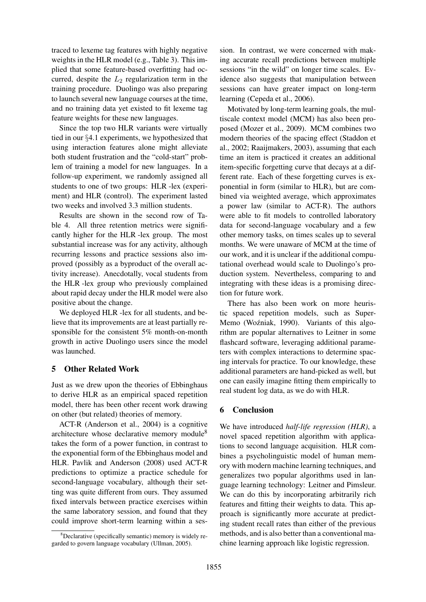traced to lexeme tag features with highly negative weights in the HLR model (e.g., Table 3). This implied that some feature-based overfitting had occurred, despite the  $L_2$  regularization term in the training procedure. Duolingo was also preparing to launch several new language courses at the time, and no training data yet existed to fit lexeme tag feature weights for these new languages.

Since the top two HLR variants were virtually tied in our §4.1 experiments, we hypothesized that using interaction features alone might alleviate both student frustration and the "cold-start" problem of training a model for new languages. In a follow-up experiment, we randomly assigned all students to one of two groups: HLR -lex (experiment) and HLR (control). The experiment lasted two weeks and involved 3.3 million students.

Results are shown in the second row of Table 4. All three retention metrics were significantly higher for the HLR -lex group. The most substantial increase was for any activity, although recurring lessons and practice sessions also improved (possibly as a byproduct of the overall activity increase). Anecdotally, vocal students from the HLR -lex group who previously complained about rapid decay under the HLR model were also positive about the change.

We deployed HLR -lex for all students, and believe that its improvements are at least partially responsible for the consistent 5% month-on-month growth in active Duolingo users since the model was launched.

## 5 Other Related Work

Just as we drew upon the theories of Ebbinghaus to derive HLR as an empirical spaced repetition model, there has been other recent work drawing on other (but related) theories of memory.

ACT-R (Anderson et al., 2004) is a cognitive architecture whose declarative memory module<sup>8</sup> takes the form of a power function, in contrast to the exponential form of the Ebbinghaus model and HLR. Pavlik and Anderson (2008) used ACT-R predictions to optimize a practice schedule for second-language vocabulary, although their setting was quite different from ours. They assumed fixed intervals between practice exercises within the same laboratory session, and found that they could improve short-term learning within a ses-

sion. In contrast, we were concerned with making accurate recall predictions between multiple sessions "in the wild" on longer time scales. Evidence also suggests that manipulation between sessions can have greater impact on long-term learning (Cepeda et al., 2006).

Motivated by long-term learning goals, the multiscale context model (MCM) has also been proposed (Mozer et al., 2009). MCM combines two modern theories of the spacing effect (Staddon et al., 2002; Raaijmakers, 2003), assuming that each time an item is practiced it creates an additional item-specific forgetting curve that decays at a different rate. Each of these forgetting curves is exponential in form (similar to HLR), but are combined via weighted average, which approximates a power law (similar to ACT-R). The authors were able to fit models to controlled laboratory data for second-language vocabulary and a few other memory tasks, on times scales up to several months. We were unaware of MCM at the time of our work, and it is unclear if the additional computational overhead would scale to Duolingo's production system. Nevertheless, comparing to and integrating with these ideas is a promising direction for future work.

There has also been work on more heuristic spaced repetition models, such as Super-Memo (Woźniak, 1990). Variants of this algorithm are popular alternatives to Leitner in some flashcard software, leveraging additional parameters with complex interactions to determine spacing intervals for practice. To our knowledge, these additional parameters are hand-picked as well, but one can easily imagine fitting them empirically to real student log data, as we do with HLR.

## 6 Conclusion

We have introduced *half-life regression (HLR)*, a novel spaced repetition algorithm with applications to second language acquisition. HLR combines a psycholinguistic model of human memory with modern machine learning techniques, and generalizes two popular algorithms used in language learning technology: Leitner and Pimsleur. We can do this by incorporating arbitrarily rich features and fitting their weights to data. This approach is significantly more accurate at predicting student recall rates than either of the previous methods, and is also better than a conventional machine learning approach like logistic regression.

 $8$ Declarative (specifically semantic) memory is widely regarded to govern language vocabulary (Ullman, 2005).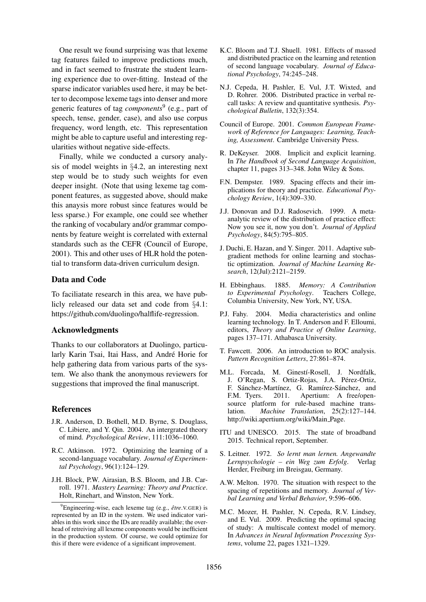One result we found surprising was that lexeme tag features failed to improve predictions much, and in fact seemed to frustrate the student learning experience due to over-fitting. Instead of the sparse indicator variables used here, it may be better to decompose lexeme tags into denser and more generic features of tag *components*<sup>9</sup> (e.g., part of speech, tense, gender, case), and also use corpus frequency, word length, etc. This representation might be able to capture useful and interesting regularities without negative side-effects.

Finally, while we conducted a cursory analysis of model weights in §4.2, an interesting next step would be to study such weights for even deeper insight. (Note that using lexeme tag component features, as suggested above, should make this anaysis more robust since features would be less sparse.) For example, one could see whether the ranking of vocabulary and/or grammar components by feature weight is correlated with external standards such as the CEFR (Council of Europe, 2001). This and other uses of HLR hold the potential to transform data-driven curriculum design.

### Data and Code

To faciliatate research in this area, we have publicly released our data set and code from §4.1: https://github.com/duolingo/halflife-regression.

## Acknowledgments

Thanks to our collaborators at Duolingo, particularly Karin Tsai, Itai Hass, and André Horie for help gathering data from various parts of the system. We also thank the anonymous reviewers for suggestions that improved the final manuscript.

### References

- J.R. Anderson, D. Bothell, M.D. Byrne, S. Douglass, C. Libiere, and Y. Qin. 2004. An intergrated theory of mind. *Psychological Review*, 111:1036–1060.
- R.C. Atkinson. 1972. Optimizing the learning of a second-language vocabulary. *Journal of Experimental Psychology*, 96(1):124–129.
- J.H. Block, P.W. Airasian, B.S. Bloom, and J.B. Carroll. 1971. *Mastery Learning: Theory and Practice*. Holt, Rinehart, and Winston, New York.
- K.C. Bloom and T.J. Shuell. 1981. Effects of massed and distributed practice on the learning and retention of second language vocabulary. *Journal of Educational Psychology*, 74:245–248.
- N.J. Cepeda, H. Pashler, E. Vul, J.T. Wixted, and D. Rohrer. 2006. Distributed practice in verbal recall tasks: A review and quantitative synthesis. *Psychological Bulletin*, 132(3):354.
- Council of Europe. 2001. *Common European Framework of Reference for Languages: Learning, Teaching, Assessment*. Cambridge University Press.
- R. DeKeyser. 2008. Implicit and explicit learning. In *The Handbook of Second Language Acquisition*, chapter 11, pages  $313-348$ . John Wiley & Sons.
- F.N. Dempster. 1989. Spacing effects and their implications for theory and practice. *Educational Psychology Review*, 1(4):309–330.
- J.J. Donovan and D.J. Radosevich. 1999. A metaanalytic review of the distribution of practice effect: Now you see it, now you don't. *Journal of Applied Psychology*, 84(5):795–805.
- J. Duchi, E. Hazan, and Y. Singer. 2011. Adaptive subgradient methods for online learning and stochastic optimization. *Journal of Machine Learning Research*, 12(Jul):2121–2159.
- H. Ebbinghaus. 1885. *Memory: A Contribution to Experimental Psychology*. Teachers College, Columbia University, New York, NY, USA.
- P.J. Fahy. 2004. Media characteristics and online learning technology. In T. Anderson and F. Elloumi, editors, *Theory and Practice of Online Learning*, pages 137–171. Athabasca University.
- T. Fawcett. 2006. An introduction to ROC analysis. *Pattern Recognition Letters*, 27:861–874.
- M.L. Forcada, M. Ginestí-Rosell, J. Nordfalk, J. O'Regan, S. Ortiz-Rojas, J.A. Pérez-Ortiz, F. Sánchez-Martínez, G. Ramírez-Sánchez, and F.M. Tyers. 2011. Apertium: A free/open-2011. Apertium: A free/opensource platform for rule-based machine translation. *Machine Translation*, 25(2):127–144. http://wiki.apertium.org/wiki/Main Page.
- ITU and UNESCO. 2015. The state of broadband 2015. Technical report, September.
- S. Leitner. 1972. *So lernt man lernen. Angewandte Lernpsychologie – ein Weg zum Erfolg*. Verlag Herder, Freiburg im Breisgau, Germany.
- A.W. Melton. 1970. The situation with respect to the spacing of repetitions and memory. *Journal of Verbal Learning and Verbal Behavior*, 9:596–606.
- M.C. Mozer, H. Pashler, N. Cepeda, R.V. Lindsey, and E. Vul. 2009. Predicting the optimal spacing of study: A multiscale context model of memory. In *Advances in Neural Information Processing Systems*, volume 22, pages 1321–1329.

<sup>&</sup>lt;sup>9</sup>Engineering-wise, each lexeme tag (e.g.,  $\hat{e}$ *tre N*.GER) is represented by an ID in the system. We used indicator variables in this work since the IDs are readily available; the overhead of retreiving all lexeme components would be inefficient in the production system. Of course, we could optimize for this if there were evidence of a significant improvement.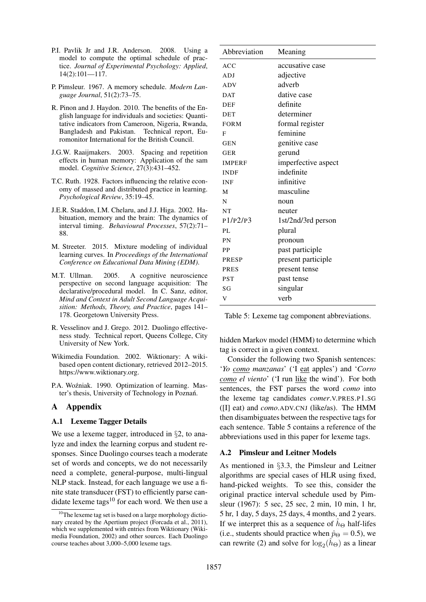- P.I. Pavlik Jr and J.R. Anderson. 2008. Using a model to compute the optimal schedule of practice. *Journal of Experimental Psychology: Applied*, 14(2):101—117.
- P. Pimsleur. 1967. A memory schedule. *Modern Language Journal*, 51(2):73–75.
- R. Pinon and J. Haydon. 2010. The benefits of the English language for individuals and societies: Quantitative indicators from Cameroon, Nigeria, Rwanda, Bangladesh and Pakistan. Technical report, Euromonitor International for the British Council.
- J.G.W. Raaijmakers. 2003. Spacing and repetition effects in human memory: Application of the sam model. *Cognitive Science*, 27(3):431–452.
- T.C. Ruth. 1928. Factors influencing the relative economy of massed and distributed practice in learning. *Psychological Review*, 35:19–45.
- J.E.R. Staddon, I.M. Chelaru, and J.J. Higa. 2002. Habituation, memory and the brain: The dynamics of interval timing. *Behavioural Processes*, 57(2):71– 88.
- M. Streeter. 2015. Mixture modeling of individual learning curves. In *Proceedings of the International Conference on Educational Data Mining (EDM)*.
- M.T. Ullman. 2005. A cognitive neuroscience perspective on second language acquisition: The declarative/procedural model. In C. Sanz, editor, *Mind and Context in Adult Second Language Acquisition: Methods, Theory, and Practice*, pages 141– 178. Georgetown University Press.
- R. Vesselinov and J. Grego. 2012. Duolingo effectiveness study. Technical report, Queens College, City University of New York.
- Wikimedia Foundation. 2002. Wiktionary: A wikibased open content dictionary, retrieved 2012–2015. https://www.wiktionary.org.
- P.A. Woźniak. 1990. Optimization of learning. Master's thesis, University of Technology in Poznań.

## A Appendix

### A.1 Lexeme Tagger Details

We use a lexeme tagger, introduced in §2, to analyze and index the learning corpus and student responses. Since Duolingo courses teach a moderate set of words and concepts, we do not necessarily need a complete, general-purpose, multi-lingual NLP stack. Instead, for each language we use a finite state transducer (FST) to efficiently parse candidate lexeme tags $^{10}$  for each word. We then use a

| Abbreviation  | Meaning             |
|---------------|---------------------|
| ACC           | accusative case     |
| ADJ           | adjective           |
| <b>ADV</b>    | adverb              |
| <b>DAT</b>    | dative case         |
| <b>DEF</b>    | definite            |
| DET           | determiner          |
| <b>FORM</b>   | formal register     |
| F             | feminine            |
| <b>GEN</b>    | genitive case       |
| <b>GER</b>    | gerund              |
| <b>IMPERF</b> | imperfective aspect |
| <b>INDF</b>   | indefinite          |
| <b>INF</b>    | infinitive          |
| M             | masculine           |
| N             | noun                |
| <b>NT</b>     | neuter              |
| P1/P2/P3      | 1st/2nd/3rd person  |
| PL            | plural              |
| PN            | pronoun             |
| PP            | past participle     |
| PRESP         | present participle  |
| <b>PRES</b>   | present tense       |
| <b>PST</b>    | past tense          |
| SG            | singular            |
| V             | verb                |

Table 5: Lexeme tag component abbreviations.

hidden Markov model (HMM) to determine which tag is correct in a given context.

Consider the following two Spanish sentences: '*Yo como manzanas*' ('I eat apples') and '*Corro como el viento*' ('I run like the wind'). For both sentences, the FST parses the word *como* into the lexeme tag candidates *comer*.V.PRES.P1.SG ([I] eat) and *como*.ADV.CNJ (like/as). The HMM then disambiguates between the respective tags for each sentence. Table 5 contains a reference of the abbreviations used in this paper for lexeme tags.

### A.2 Pimsleur and Leitner Models

As mentioned in §3.3, the Pimsleur and Leitner algorithms are special cases of HLR using fixed, hand-picked weights. To see this, consider the original practice interval schedule used by Pimsleur (1967): 5 sec, 25 sec, 2 min, 10 min, 1 hr, 5 hr, 1 day, 5 days, 25 days, 4 months, and 2 years. If we interpret this as a sequence of  $h_{\Theta}$  half-lifes (i.e., students should practice when  $\hat{p}_{\Theta} = 0.5$ ), we can rewrite (2) and solve for  $\log_2(\hat{h}_{\Theta})$  as a linear

<sup>&</sup>lt;sup>10</sup>The lexeme tag set is based on a large morphology dictionary created by the Apertium project (Forcada et al., 2011), which we supplemented with entries from Wiktionary (Wikimedia Foundation, 2002) and other sources. Each Duolingo course teaches about 3,000–5,000 lexeme tags.